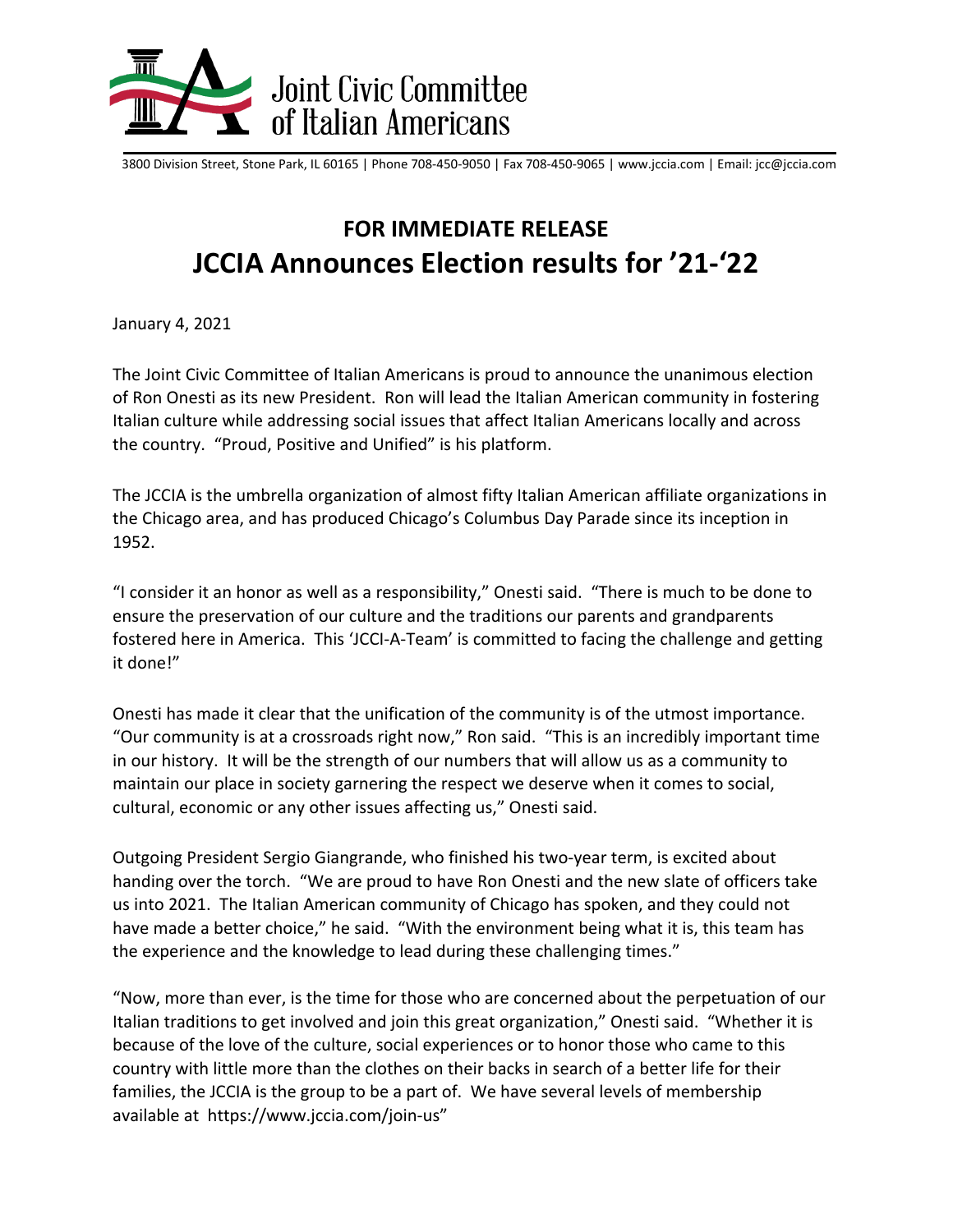

3800 Division Street, Stone Park, IL 60165 | Phone 708-450-9050 | Fax 708-450-9065 | www.jccia.com | Email: jcc@jccia.com

## **FOR IMMEDIATE RELEASE JCCIA Announces Election results for '21-'22**

January 4, 2021

The Joint Civic Committee of Italian Americans is proud to announce the unanimous election of Ron Onesti as its new President. Ron will lead the Italian American community in fostering Italian culture while addressing social issues that affect Italian Americans locally and across the country. "Proud, Positive and Unified" is his platform.

The JCCIA is the umbrella organization of almost fifty Italian American affiliate organizations in the Chicago area, and has produced Chicago's Columbus Day Parade since its inception in 1952.

"I consider it an honor as well as a responsibility," Onesti said. "There is much to be done to ensure the preservation of our culture and the traditions our parents and grandparents fostered here in America. This 'JCCI-A-Team' is committed to facing the challenge and getting it done!"

Onesti has made it clear that the unification of the community is of the utmost importance. "Our community is at a crossroads right now," Ron said. "This is an incredibly important time in our history. It will be the strength of our numbers that will allow us as a community to maintain our place in society garnering the respect we deserve when it comes to social, cultural, economic or any other issues affecting us," Onesti said.

Outgoing President Sergio Giangrande, who finished his two-year term, is excited about handing over the torch. "We are proud to have Ron Onesti and the new slate of officers take us into 2021. The Italian American community of Chicago has spoken, and they could not have made a better choice," he said. "With the environment being what it is, this team has the experience and the knowledge to lead during these challenging times."

"Now, more than ever, is the time for those who are concerned about the perpetuation of our Italian traditions to get involved and join this great organization," Onesti said. "Whether it is because of the love of the culture, social experiences or to honor those who came to this country with little more than the clothes on their backs in search of a better life for their families, the JCCIA is the group to be a part of. We have several levels of membership available at https://www.jccia.com/join-us"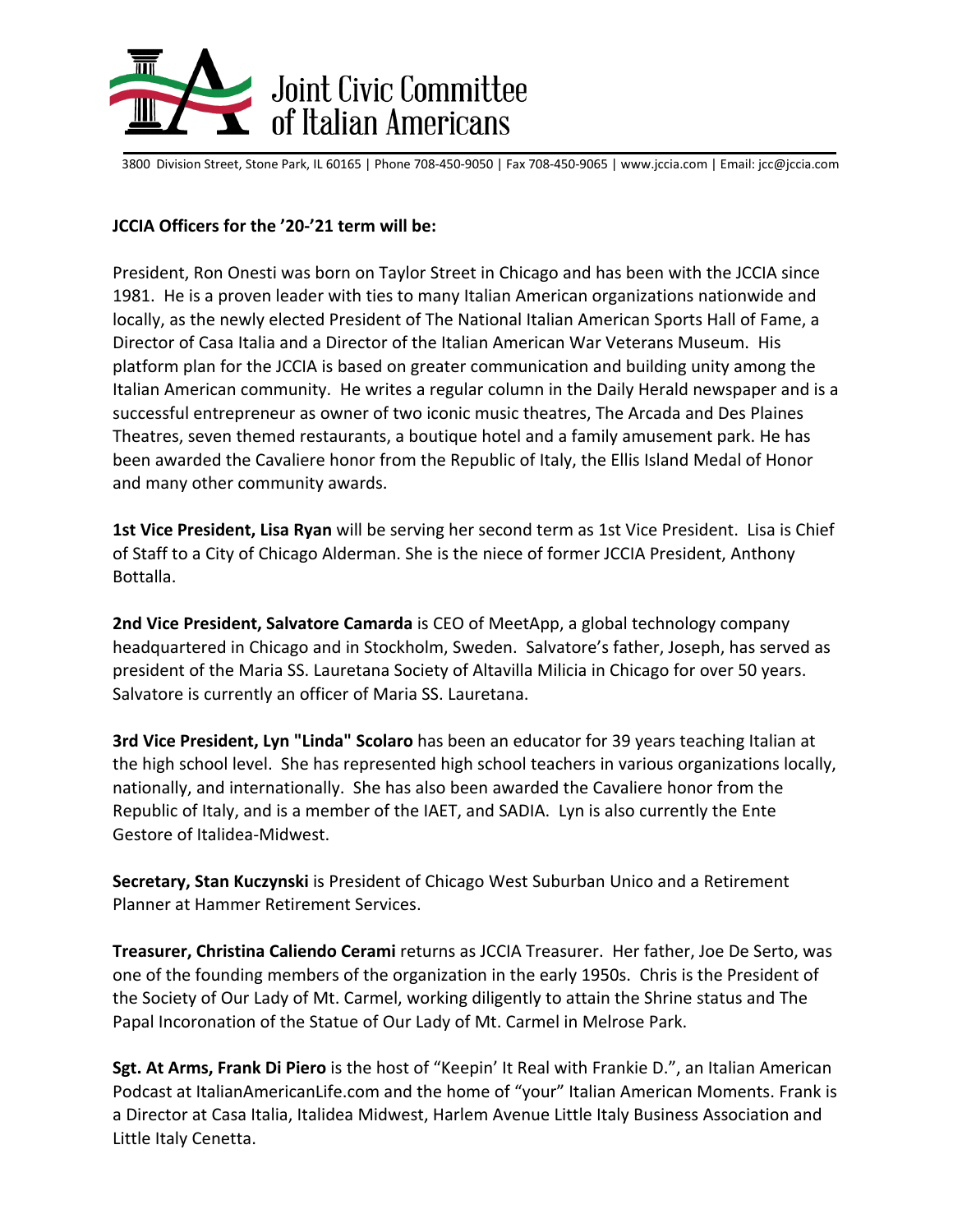

3800 Division Street, Stone Park, IL 60165 | Phone 708-450-9050 | Fax 708-450-9065 | www.jccia.com | Email: jcc@jccia.com

## **JCCIA Officers for the '20-'21 term will be:**

President, Ron Onesti was born on Taylor Street in Chicago and has been with the JCCIA since 1981. He is a proven leader with ties to many Italian American organizations nationwide and locally, as the newly elected President of The National Italian American Sports Hall of Fame, a Director of Casa Italia and a Director of the Italian American War Veterans Museum. His platform plan for the JCCIA is based on greater communication and building unity among the Italian American community. He writes a regular column in the Daily Herald newspaper and is a successful entrepreneur as owner of two iconic music theatres, The Arcada and Des Plaines Theatres, seven themed restaurants, a boutique hotel and a family amusement park. He has been awarded the Cavaliere honor from the Republic of Italy, the Ellis Island Medal of Honor and many other community awards.

**1st Vice President, Lisa Ryan** will be serving her second term as 1st Vice President. Lisa is Chief of Staff to a City of Chicago Alderman. She is the niece of former JCCIA President, Anthony Bottalla.

**2nd Vice President, Salvatore Camarda** is CEO of MeetApp, a global technology company headquartered in Chicago and in Stockholm, Sweden. Salvatore's father, Joseph, has served as president of the Maria SS. Lauretana Society of Altavilla Milicia in Chicago for over 50 years. Salvatore is currently an officer of Maria SS. Lauretana.

**3rd Vice President, Lyn "Linda" Scolaro** has been an educator for 39 years teaching Italian at the high school level. She has represented high school teachers in various organizations locally, nationally, and internationally. She has also been awarded the Cavaliere honor from the Republic of Italy, and is a member of the IAET, and SADIA. Lyn is also currently the Ente Gestore of Italidea-Midwest.

**Secretary, Stan Kuczynski** is President of Chicago West Suburban Unico and a Retirement Planner at Hammer Retirement Services.

**Treasurer, Christina Caliendo Cerami** returns as JCCIA Treasurer. Her father, Joe De Serto, was one of the founding members of the organization in the early 1950s. Chris is the President of the Society of Our Lady of Mt. Carmel, working diligently to attain the Shrine status and The Papal Incoronation of the Statue of Our Lady of Mt. Carmel in Melrose Park.

**Sgt. At Arms, Frank Di Piero** is the host of "Keepin' It Real with Frankie D.", an Italian American Podcast at ItalianAmericanLife.com and the home of "your" Italian American Moments. Frank is a Director at Casa Italia, Italidea Midwest, Harlem Avenue Little Italy Business Association and Little Italy Cenetta.